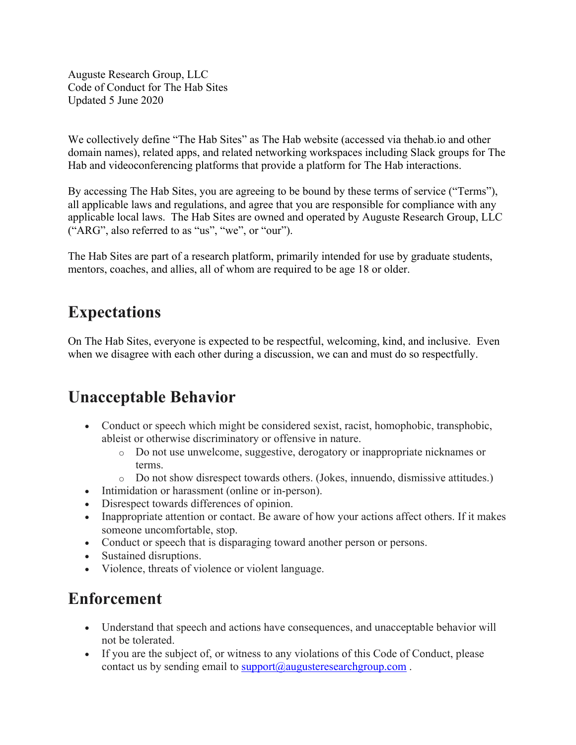Auguste Research Group, LLC Code of Conduct for The Hab Sites Updated 5 June 2020

We collectively define "The Hab Sites" as The Hab website (accessed via thehab.io and other domain names), related apps, and related networking workspaces including Slack groups for The Hab and videoconferencing platforms that provide a platform for The Hab interactions.

By accessing The Hab Sites, you are agreeing to be bound by these terms of service ("Terms"), all applicable laws and regulations, and agree that you are responsible for compliance with any applicable local laws. The Hab Sites are owned and operated by Auguste Research Group, LLC ("ARG", also referred to as "us", "we", or "our").

The Hab Sites are part of a research platform, primarily intended for use by graduate students, mentors, coaches, and allies, all of whom are required to be age 18 or older.

## **Expectations**

On The Hab Sites, everyone is expected to be respectful, welcoming, kind, and inclusive. Even when we disagree with each other during a discussion, we can and must do so respectfully.

## **Unacceptable Behavior**

- Conduct or speech which might be considered sexist, racist, homophobic, transphobic, ableist or otherwise discriminatory or offensive in nature.
	- o Do not use unwelcome, suggestive, derogatory or inappropriate nicknames or terms.
	- o Do not show disrespect towards others. (Jokes, innuendo, dismissive attitudes.)
- Intimidation or harassment (online or in-person).
- Disrespect towards differences of opinion.
- Inappropriate attention or contact. Be aware of how your actions affect others. If it makes someone uncomfortable, stop.
- Conduct or speech that is disparaging toward another person or persons.
- Sustained disruptions.
- Violence, threats of violence or violent language.

## **Enforcement**

- Understand that speech and actions have consequences, and unacceptable behavior will not be tolerated.
- If you are the subject of, or witness to any violations of this Code of Conduct, please contact us by sending email to **support**@augusteresearchgroup.com.